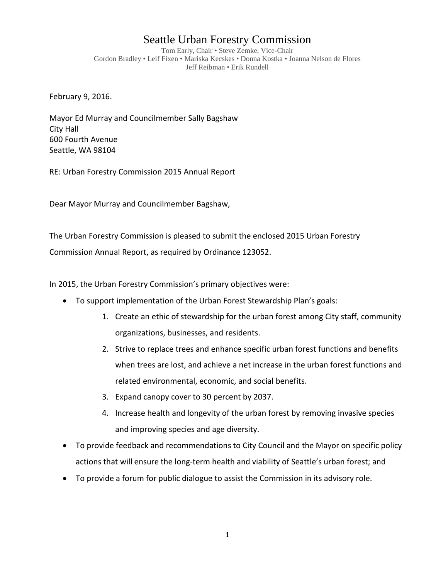## Seattle Urban Forestry Commission

Tom Early, Chair • Steve Zemke, Vice-Chair Gordon Bradley • Leif Fixen • Mariska Kecskes • Donna Kostka • Joanna Nelson de Flores Jeff Reibman • Erik Rundell

February 9, 2016.

Mayor Ed Murray and Councilmember Sally Bagshaw City Hall 600 Fourth Avenue Seattle, WA 98104

RE: Urban Forestry Commission 2015 Annual Report

Dear Mayor Murray and Councilmember Bagshaw,

The Urban Forestry Commission is pleased to submit the enclosed 2015 Urban Forestry Commission Annual Report, as required by Ordinance 123052.

In 2015, the Urban Forestry Commission's primary objectives were:

- To support implementation of the Urban Forest Stewardship Plan's goals:
	- 1. Create an ethic of stewardship for the urban forest among City staff, community organizations, businesses, and residents.
	- 2. Strive to replace trees and enhance specific urban forest functions and benefits when trees are lost, and achieve a net increase in the urban forest functions and related environmental, economic, and social benefits.
	- 3. Expand canopy cover to 30 percent by 2037.
	- 4. Increase health and longevity of the urban forest by removing invasive species and improving species and age diversity.
- To provide feedback and recommendations to City Council and the Mayor on specific policy actions that will ensure the long-term health and viability of Seattle's urban forest; and
- To provide a forum for public dialogue to assist the Commission in its advisory role.